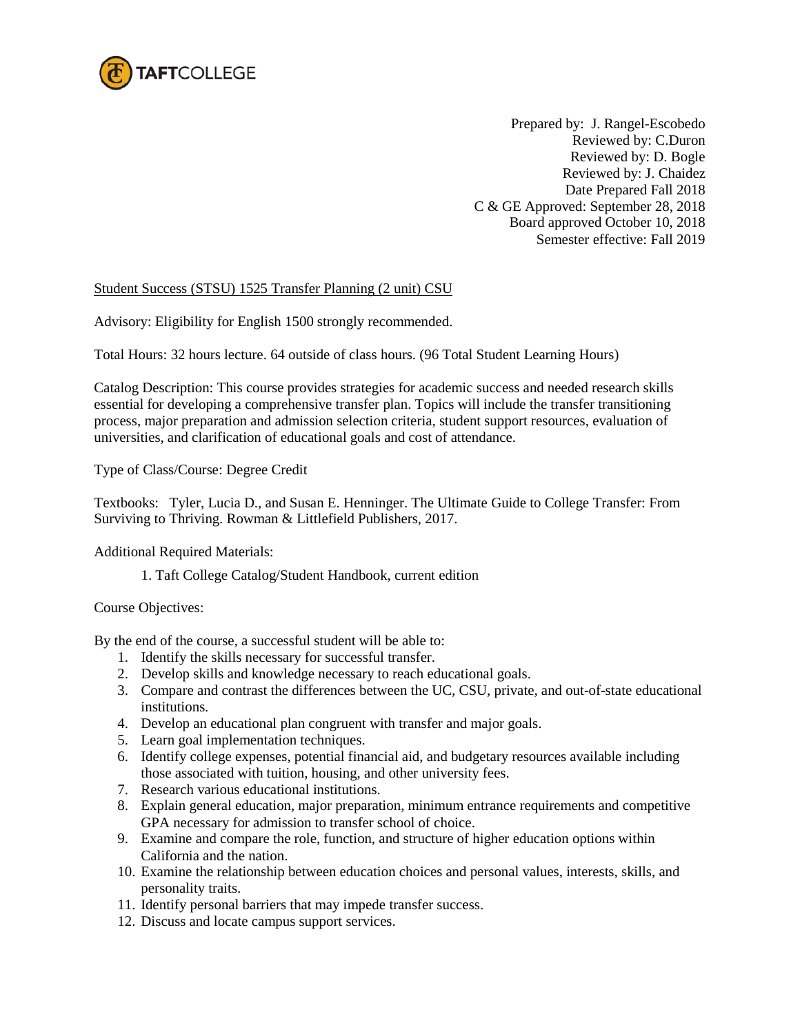

Prepared by: J. Rangel-Escobedo Reviewed by: C.Duron Reviewed by: D. Bogle Reviewed by: J. Chaidez Date Prepared Fall 2018 C & GE Approved: September 28, 2018 Board approved October 10, 2018 Semester effective: Fall 2019

## Student Success (STSU) 1525 Transfer Planning (2 unit) CSU

Advisory: Eligibility for English 1500 strongly recommended.

Total Hours: 32 hours lecture. 64 outside of class hours. (96 Total Student Learning Hours)

Catalog Description: This course provides strategies for academic success and needed research skills essential for developing a comprehensive transfer plan. Topics will include the transfer transitioning process, major preparation and admission selection criteria, student support resources, evaluation of universities, and clarification of educational goals and cost of attendance.

Type of Class/Course: Degree Credit

Textbooks: Tyler, Lucia D., and Susan E. Henninger. The Ultimate Guide to College Transfer: From Surviving to Thriving. Rowman & Littlefield Publishers, 2017.

Additional Required Materials:

1. Taft College Catalog/Student Handbook, current edition

## Course Objectives:

By the end of the course, a successful student will be able to:

- 1. Identify the skills necessary for successful transfer.
- 2. Develop skills and knowledge necessary to reach educational goals.
- 3. Compare and contrast the differences between the UC, CSU, private, and out-of-state educational institutions.
- 4. Develop an educational plan congruent with transfer and major goals.
- 5. Learn goal implementation techniques.
- 6. Identify college expenses, potential financial aid, and budgetary resources available including those associated with tuition, housing, and other university fees.
- 7. Research various educational institutions.
- 8. Explain general education, major preparation, minimum entrance requirements and competitive GPA necessary for admission to transfer school of choice.
- 9. Examine and compare the role, function, and structure of higher education options within California and the nation.
- 10. Examine the relationship between education choices and personal values, interests, skills, and personality traits.
- 11. Identify personal barriers that may impede transfer success.
- 12. Discuss and locate campus support services.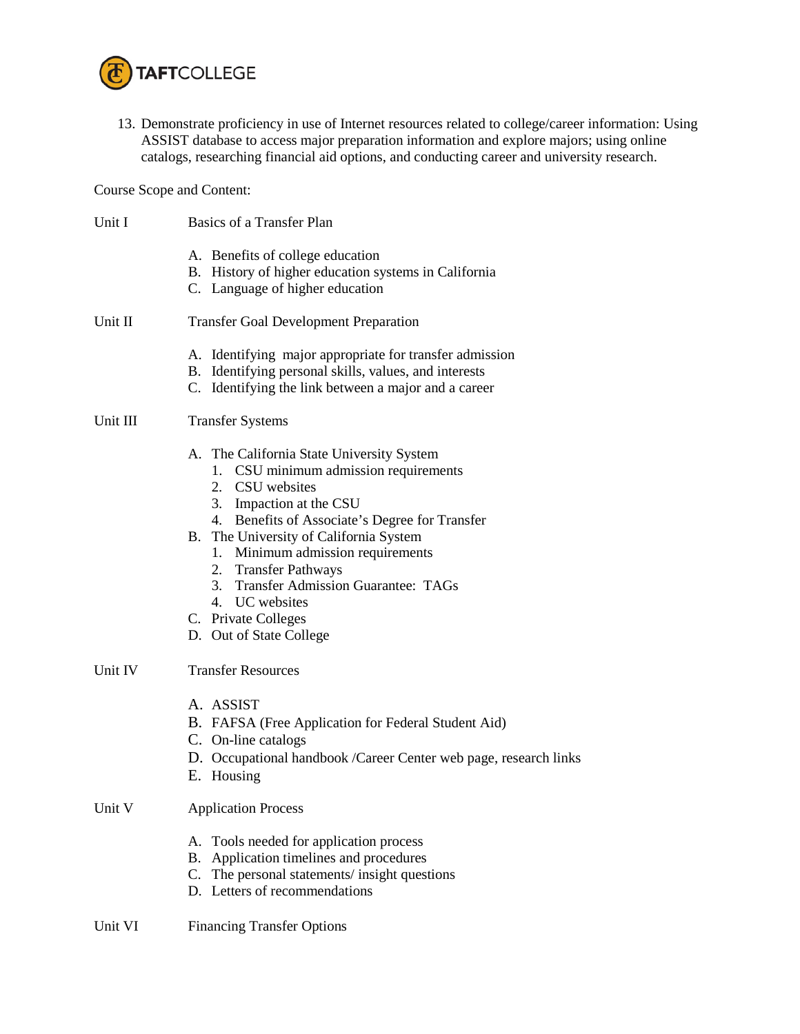

13. Demonstrate proficiency in use of Internet resources related to college/career information: Using ASSIST database to access major preparation information and explore majors; using online catalogs, researching financial aid options, and conducting career and university research.

Course Scope and Content:

| Unit I   | Basics of a Transfer Plan                                                                                                                                                                                                                                                                                                                                                                                        |
|----------|------------------------------------------------------------------------------------------------------------------------------------------------------------------------------------------------------------------------------------------------------------------------------------------------------------------------------------------------------------------------------------------------------------------|
|          | A. Benefits of college education<br>B. History of higher education systems in California<br>C. Language of higher education                                                                                                                                                                                                                                                                                      |
| Unit II  | <b>Transfer Goal Development Preparation</b>                                                                                                                                                                                                                                                                                                                                                                     |
|          | A. Identifying major appropriate for transfer admission<br>B. Identifying personal skills, values, and interests<br>C. Identifying the link between a major and a career                                                                                                                                                                                                                                         |
| Unit III | <b>Transfer Systems</b>                                                                                                                                                                                                                                                                                                                                                                                          |
|          | A. The California State University System<br>1. CSU minimum admission requirements<br>2. CSU websites<br>3. Impaction at the CSU<br>4. Benefits of Associate's Degree for Transfer<br>B. The University of California System<br>1. Minimum admission requirements<br>2. Transfer Pathways<br><b>Transfer Admission Guarantee: TAGs</b><br>3.<br>4. UC websites<br>C. Private Colleges<br>D. Out of State College |
| Unit IV  | <b>Transfer Resources</b>                                                                                                                                                                                                                                                                                                                                                                                        |
|          | A. ASSIST<br>B. FAFSA (Free Application for Federal Student Aid)<br>C. On-line catalogs<br>D. Occupational handbook /Career Center web page, research links<br>E. Housing                                                                                                                                                                                                                                        |
| Unit V   | <b>Application Process</b>                                                                                                                                                                                                                                                                                                                                                                                       |
|          | A. Tools needed for application process<br>Application timelines and procedures<br>В.<br>C. The personal statements/insight questions<br>D. Letters of recommendations                                                                                                                                                                                                                                           |
| Unit VI  | <b>Financing Transfer Options</b>                                                                                                                                                                                                                                                                                                                                                                                |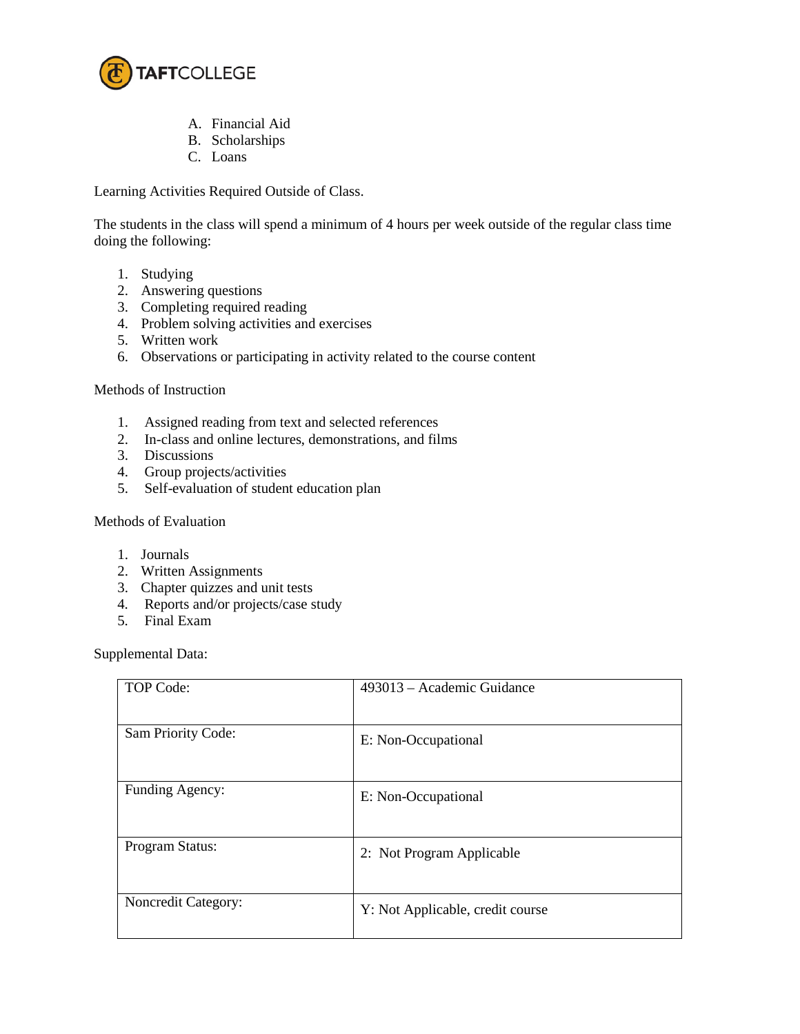

- A. Financial Aid
- B. Scholarships
- C. Loans

Learning Activities Required Outside of Class.

The students in the class will spend a minimum of 4 hours per week outside of the regular class time doing the following:

- 1. Studying
- 2. Answering questions
- 3. Completing required reading
- 4. Problem solving activities and exercises
- 5. Written work
- 6. Observations or participating in activity related to the course content

## Methods of Instruction

- 1. Assigned reading from text and selected references
- 2. In-class and online lectures, demonstrations, and films
- 3. Discussions
- 4. Group projects/activities
- 5. Self-evaluation of student education plan

## Methods of Evaluation

- 1. Journals
- 2. Written Assignments
- 3. Chapter quizzes and unit tests
- 4. Reports and/or projects/case study
- 5. Final Exam

Supplemental Data:

| <b>TOP Code:</b>    | 493013 – Academic Guidance       |
|---------------------|----------------------------------|
| Sam Priority Code:  | E: Non-Occupational              |
| Funding Agency:     | E: Non-Occupational              |
| Program Status:     | 2: Not Program Applicable        |
| Noncredit Category: | Y: Not Applicable, credit course |